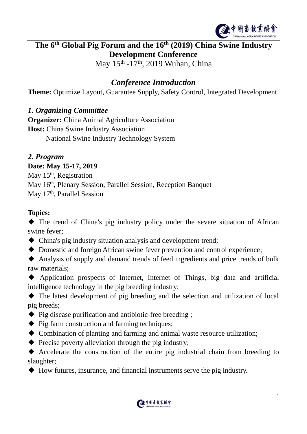

# **The 6 th Global Pig Forum and the 16 th (2019) China Swine Industry Development Conference**

May 15<sup>th</sup> -17<sup>th</sup>, 2019 Wuhan, China

## *Conference Introduction*

**Theme:** Optimize Layout, Guarantee Supply, Safety Control, Integrated Development

#### *1. Organizing Committee*

**Organizer:** China Animal Agriculture Association **Host:** China Swine Industry Association National Swine Industry Technology System

#### *2. Program*

#### **Date: May 15-17, 2019**

May 15<sup>th</sup>, Registration May 16<sup>th</sup>, Plenary Session, Parallel Session, Reception Banquet May 17<sup>th</sup>, Parallel Session

#### **Topics:**

◆ The trend of China's pig industry policy under the severe situation of African swine fever;

- ◆ China's pig industry situation analysis and development trend;
- ◆ Domestic and foreign African swine fever prevention and control experience;
- ◆ Analysis of supply and demand trends of feed ingredients and price trends of bulk raw materials;
- ◆ Application prospects of Internet, Internet of Things, big data and artificial intelligence technology in the pig breeding industry;

◆ The latest development of pig breeding and the selection and utilization of local pig breeds;

- ◆ Pig disease purification and antibiotic-free breeding ;
- ◆ Pig farm construction and farming techniques:
- ◆ Combination of planting and farming and animal waste resource utilization;
- $\blacklozenge$  Precise poverty alleviation through the pig industry;

◆ Accelerate the construction of the entire pig industrial chain from breeding to slaughter;

◆ How futures, insurance, and financial instruments serve the pig industry.

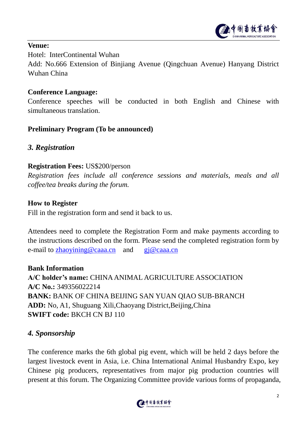

#### **Venue:**

Hotel: InterContinental Wuhan

Add: No.666 Extension of Binjiang Avenue (Qingchuan Avenue) Hanyang District Wuhan China

#### **Conference Language:**

Conference speeches will be conducted in both English and Chinese with simultaneous translation.

#### **Preliminary Program (To be announced)**

#### *3. Registration*

#### **Registration Fees:** US\$200/person

*Registration fees include all conference sessions and materials, meals and all coffee/tea breaks during the forum.* 

#### **How to Register**

Fill in the registration form and send it back to us.

Attendees need to complete the Registration Form and make payments according to the instructions described on the form. Please send the completed registration form by e-mail to [zhaoyining@caaa.cn](mailto:zhaoyining@caaa.cn) and  $gi@caaa.cn$ 

#### **Bank Information**

**A/C holder's name:** CHINA ANIMAL AGRICULTURE ASSOCIATION **A/C No.:** 349356022214 **BANK:** BANK OF CHINA BEIJING SAN YUAN QIAO SUB-BRANCH **ADD:** No, A1, Shuguang Xili,Chaoyang District,Beijing,China **SWIFT code:** BKCH CN BJ 110

### *4. Sponsorship*

The conference marks the 6th global pig event, which will be held 2 days before the largest livestock event in Asia, i.e. China International Animal Husbandry Expo, key Chinese pig producers, representatives from major pig production countries will present at this forum. The Organizing Committee provide various forms of propaganda,

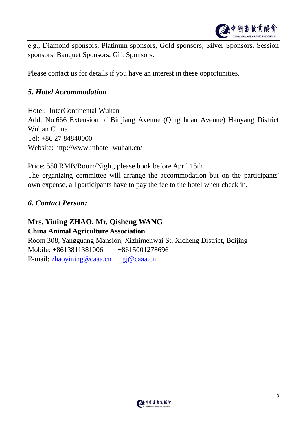

e.g., Diamond sponsors, Platinum sponsors, Gold sponsors, Silver Sponsors, Session sponsors, Banquet Sponsors, Gift Sponsors.

Please contact us for details if you have an interest in these opportunities.

#### *5. Hotel Accommodation*

Hotel: InterContinental Wuhan Add: No.666 Extension of Binjiang Avenue (Qingchuan Avenue) Hanyang District Wuhan China Tel: +86 27 84840000 Website: http://www.inhotel-wuhan.cn/

Price: 550 RMB/Room/Night, please book before April 15th The organizing committee will arrange the accommodation but on the participants' own expense, all participants have to pay the fee to the hotel when check in.

#### *6. Contact Person:*

#### **Mrs. Yining ZHAO, Mr. Qisheng WANG China Animal Agriculture Association**

Room 308, Yangguang Mansion, Xizhimenwai St, Xicheng District, Beijing Mobile: +8613811381006 +8615001278696 E-mail: [zhaoyining@caaa.cn](mailto:zhaoyining@caaa.cn) [gj@caaa.cn](mailto:gj@caaa.cn)

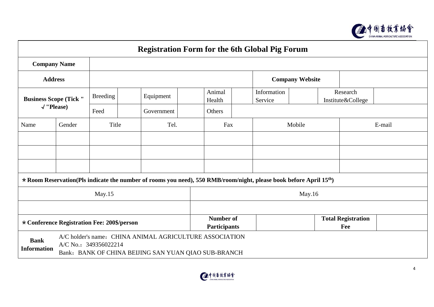

| <b>Registration Form for the 6th Global Pig Forum</b>                                                                                                                         |        |                 |            |                  |                                         |                        |                        |                                  |  |
|-------------------------------------------------------------------------------------------------------------------------------------------------------------------------------|--------|-----------------|------------|------------------|-----------------------------------------|------------------------|------------------------|----------------------------------|--|
| <b>Company Name</b>                                                                                                                                                           |        |                 |            |                  |                                         |                        |                        |                                  |  |
| <b>Address</b>                                                                                                                                                                |        |                 |            |                  |                                         |                        | <b>Company Website</b> |                                  |  |
| <b>Business Scope (Tick "</b><br>$\sqrt{'}$ lease)                                                                                                                            |        | <b>Breeding</b> | Equipment  | Animal<br>Health |                                         | Information<br>Service |                        | Research<br>Institute&College    |  |
|                                                                                                                                                                               |        | Feed            | Government | Others           |                                         |                        |                        |                                  |  |
| Name                                                                                                                                                                          | Gender | Title<br>Tel.   |            |                  | Fax                                     | Mobile                 |                        | E-mail                           |  |
|                                                                                                                                                                               |        |                 |            |                  |                                         |                        |                        |                                  |  |
|                                                                                                                                                                               |        |                 |            |                  |                                         |                        |                        |                                  |  |
|                                                                                                                                                                               |        |                 |            |                  |                                         |                        |                        |                                  |  |
| * Room Reservation(Pls indicate the number of rooms you need), 550 RMB/room/night, please book before April 15 <sup>th</sup> )                                                |        |                 |            |                  |                                         |                        |                        |                                  |  |
| May.15                                                                                                                                                                        |        |                 |            |                  | May.16                                  |                        |                        |                                  |  |
|                                                                                                                                                                               |        |                 |            |                  |                                         |                        |                        |                                  |  |
| * Conference Registration Fee: 200\$/person                                                                                                                                   |        |                 |            |                  | <b>Number of</b><br><b>Participants</b> |                        |                        | <b>Total Registration</b><br>Fee |  |
| A/C holder's name: CHINA ANIMAL AGRICULTURE ASSOCIATION<br><b>Bank</b><br>A/C No.: 349356022214<br><b>Information</b><br>Bank: BANK OF CHINA BEIJING SAN YUAN QIAO SUB-BRANCH |        |                 |            |                  |                                         |                        |                        |                                  |  |